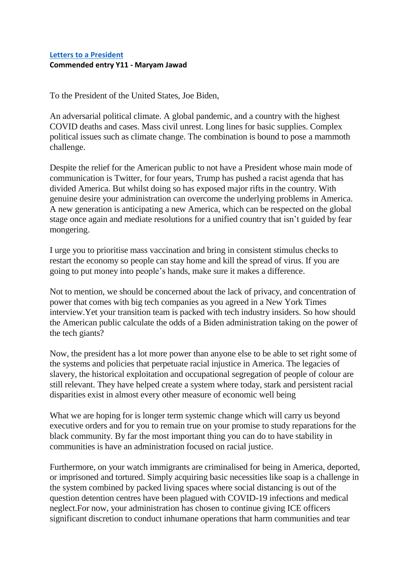## **[Letters to a President](https://www.alc.manchester.ac.uk/connect/schools/outreach/as-competition/) Commended entry Y11 - Maryam Jawad**

To the President of the United States, Joe Biden,

An adversarial political climate. A global pandemic, and a country with the highest COVID deaths and cases. Mass civil unrest. Long lines for basic supplies. Complex political issues such as climate change. The combination is bound to pose a mammoth challenge.

Despite the relief for the American public to not have a President whose main mode of communication is Twitter, for four years, Trump has pushed a racist agenda that has divided America. But whilst doing so has exposed major rifts in the country. With genuine desire your administration can overcome the underlying problems in America. A new generation is anticipating a new America, which can be respected on the global stage once again and mediate resolutions for a unified country that isn't guided by fear mongering.

I urge you to prioritise mass vaccination and bring in consistent stimulus checks to restart the economy so people can stay home and kill the spread of virus. If you are going to put money into people's hands, make sure it makes a difference.

Not to mention, we should be concerned about the lack of privacy, and concentration of power that comes with big tech companies as you agreed in a New York Times interview.Yet your transition team is packed with tech industry insiders. So how should the American public calculate the odds of a Biden administration taking on the power of the tech giants?

Now, the president has a lot more power than anyone else to be able to set right some of the systems and policies that perpetuate racial injustice in America. The legacies of slavery, the historical exploitation and occupational segregation of people of colour are still relevant. They have helped create a system where today, stark and persistent racial disparities exist in almost every other measure of economic well being

What we are hoping for is longer term systemic change which will carry us beyond executive orders and for you to remain true on your promise to study reparations for the black community. By far the most important thing you can do to have stability in communities is have an administration focused on racial justice.

Furthermore, on your watch immigrants are criminalised for being in America, deported, or imprisoned and tortured. Simply acquiring basic necessities like soap is a challenge in the system combined by packed living spaces where social distancing is out of the question detention centres have been plagued with COVID-19 infections and medical neglect.For now, your administration has chosen to continue giving ICE officers significant discretion to conduct inhumane operations that harm communities and tear